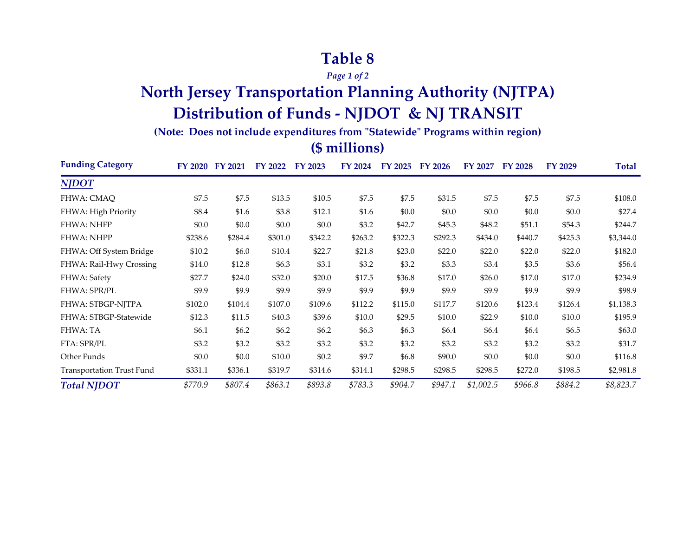### **Table 8**

*Page 1 of 2*

## **North Jersey Transportation Planning Authority (NJTPA) Distribution of Funds - NJDOT & NJ TRANSIT**

**(Note: Does not include expenditures from "Statewide" Programs within region)**

#### **(\$ millions)**

| <b>Funding Category</b>   |         | FY 2020 FY 2021 | FY 2022 FY 2023 |         | <b>FY 2024</b> | FY 2025 | <b>FY 2026</b> | FY 2027   | <b>FY 2028</b> | FY 2029 | Total     |
|---------------------------|---------|-----------------|-----------------|---------|----------------|---------|----------------|-----------|----------------|---------|-----------|
| <b>NJDOT</b>              |         |                 |                 |         |                |         |                |           |                |         |           |
| FHWA: CMAQ                | \$7.5   | \$7.5           | \$13.5          | \$10.5  | \$7.5          | \$7.5   | \$31.5         | \$7.5     | \$7.5          | \$7.5   | \$108.0   |
| FHWA: High Priority       | \$8.4   | \$1.6           | \$3.8           | \$12.1  | \$1.6          | \$0.0   | \$0.0          | \$0.0     | \$0.0          | \$0.0   | \$27.4    |
| <b>FHWA: NHFP</b>         | \$0.0   | \$0.0           | \$0.0           | \$0.0   | \$3.2          | \$42.7  | \$45.3         | \$48.2    | \$51.1         | \$54.3  | \$244.7   |
| <b>FHWA: NHPP</b>         | \$238.6 | \$284.4         | \$301.0         | \$342.2 | \$263.2        | \$322.3 | \$292.3        | \$434.0   | \$440.7        | \$425.3 | \$3,344.0 |
| FHWA: Off System Bridge   | \$10.2  | \$6.0           | \$10.4          | \$22.7  | \$21.8         | \$23.0  | \$22.0         | \$22.0    | \$22.0         | \$22.0  | \$182.0   |
| FHWA: Rail-Hwy Crossing   | \$14.0  | \$12.8          | \$6.3           | \$3.1   | \$3.2          | \$3.2   | \$3.3          | \$3.4     | \$3.5          | \$3.6   | \$56.4    |
| FHWA: Safety              | \$27.7  | \$24.0          | \$32.0          | \$20.0  | \$17.5         | \$36.8  | \$17.0         | \$26.0    | \$17.0         | \$17.0  | \$234.9   |
| FHWA: SPR/PL              | \$9.9   | \$9.9           | \$9.9           | \$9.9   | \$9.9          | \$9.9   | \$9.9          | \$9.9     | \$9.9          | \$9.9   | \$98.9    |
| FHWA: STBGP-NJTPA         | \$102.0 | \$104.4         | \$107.0         | \$109.6 | \$112.2        | \$115.0 | \$117.7        | \$120.6   | \$123.4        | \$126.4 | \$1,138.3 |
| FHWA: STBGP-Statewide     | \$12.3  | \$11.5          | \$40.3          | \$39.6  | \$10.0         | \$29.5  | \$10.0         | \$22.9    | \$10.0         | \$10.0  | \$195.9   |
| FHWA: TA                  | \$6.1   | \$6.2\$         | \$6.2           | \$6.2   | \$6.3          | \$6.3   | \$6.4          | \$6.4     | \$6.4          | \$6.5   | \$63.0    |
| FTA: SPR/PL               | \$3.2   | \$3.2           | \$3.2           | \$3.2   | \$3.2          | \$3.2   | \$3.2          | \$3.2     | \$3.2          | \$3.2   | \$31.7    |
| Other Funds               | \$0.0   | \$0.0           | \$10.0          | \$0.2   | \$9.7          | \$6.8   | \$90.0         | \$0.0     | \$0.0          | \$0.0   | \$116.8   |
| Transportation Trust Fund | \$331.1 | \$336.1         | \$319.7         | \$314.6 | \$314.1        | \$298.5 | \$298.5        | \$298.5   | \$272.0        | \$198.5 | \$2,981.8 |
| <b>Total NJDOT</b>        | \$770.9 | \$807.4         | \$863.1         | \$893.8 | \$783.3        | \$904.7 | \$947.1        | \$1,002.5 | \$966.8        | \$884.2 | \$8,823.7 |